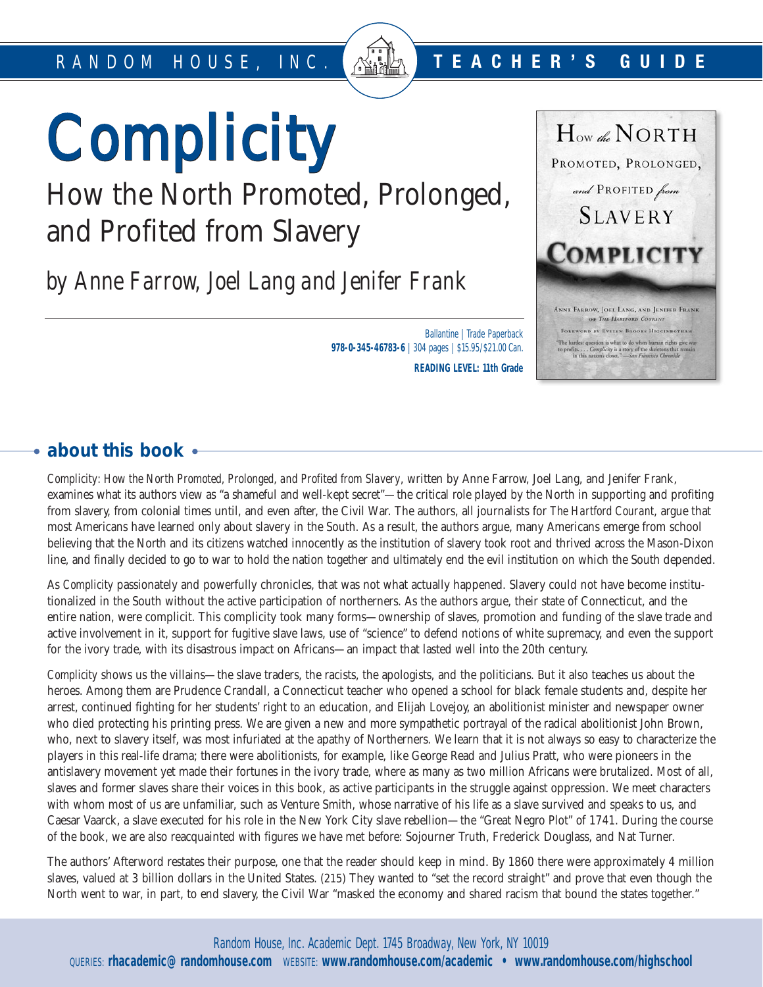# Complicity Complicity

# How the North Promoted, Prolonged, and Profited from Slavery

*by Anne Farrow, Joel Lang and Jenifer Frank*

Ballantine | Trade Paperback **978-0-345-46783-6** | 304 pages | \$15.95/\$21.00 Can. **READING LEVEL: 11th Grade**



# **about this book**

*Complicity: How the North Promoted, Prolonged, and Profited from Slavery*, written by Anne Farrow, Joel Lang, and Jenifer Frank, examines what its authors view as "a shameful and well-kept secret"—the critical role played by the North in supporting and profiting from slavery, from colonial times until, and even after, the Civil War. The authors, all journalists for *The Hartford Courant*, argue that most Americans have learned only about slavery in the South. As a result, the authors argue, many Americans emerge from school believing that the North and its citizens watched innocently as the institution of slavery took root and thrived across the Mason-Dixon line, and finally decided to go to war to hold the nation together and ultimately end the evil institution on which the South depended.

As *Complicity* passionately and powerfully chronicles, that was not what actually happened. Slavery could not have become institutionalized in the South without the active participation of northerners. As the authors argue, their state of Connecticut, and the entire nation, were complicit. This complicity took many forms—ownership of slaves, promotion and funding of the slave trade and active involvement in it, support for fugitive slave laws, use of "science" to defend notions of white supremacy, and even the support for the ivory trade, with its disastrous impact on Africans—an impact that lasted well into the 20th century.

*Complicity* shows us the villains—the slave traders, the racists, the apologists, and the politicians. But it also teaches us about the heroes. Among them are Prudence Crandall, a Connecticut teacher who opened a school for black female students and, despite her arrest, continued fighting for her students' right to an education, and Elijah Lovejoy, an abolitionist minister and newspaper owner who died protecting his printing press. We are given a new and more sympathetic portrayal of the radical abolitionist John Brown, who, next to slavery itself, was most infuriated at the apathy of Northerners. We learn that it is not always so easy to characterize the players in this real-life drama; there were abolitionists, for example, like George Read and Julius Pratt, who were pioneers in the antislavery movement yet made their fortunes in the ivory trade, where as many as two million Africans were brutalized. Most of all, slaves and former slaves share their voices in this book, as active participants in the struggle against oppression. We meet characters with whom most of us are unfamiliar, such as Venture Smith, whose narrative of his life as a slave survived and speaks to us, and Caesar Vaarck, a slave executed for his role in the New York City slave rebellion—the "Great Negro Plot" of 1741. During the course of the book, we are also reacquainted with figures we have met before: Sojourner Truth, Frederick Douglass, and Nat Turner.

The authors' Afterword restates their purpose, one that the reader should keep in mind. By 1860 there were approximately 4 million slaves, valued at 3 billion dollars in the United States. (215) They wanted to "set the record straight" and prove that even though the North went to war, in part, to end slavery, the Civil War "masked the economy and shared racism that bound the states together."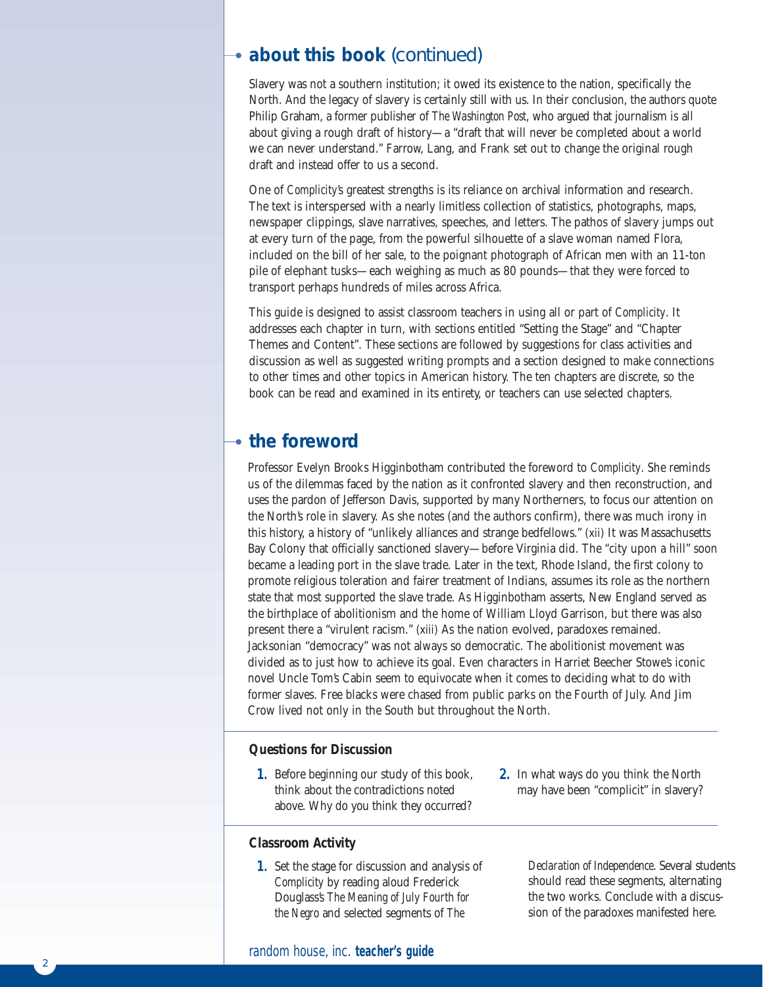# **about this book** (continued)

Slavery was not a southern institution; it owed its existence to the nation, specifically the North. And the legacy of slavery is certainly still with us. In their conclusion, the authors quote Philip Graham, a former publisher of *The Washington Post*, who argued that journalism is all about giving a rough draft of history—a "draft that will never be completed about a world we can never understand." Farrow, Lang, and Frank set out to change the original rough draft and instead offer to us a second.

One of *Complicity*'s greatest strengths is its reliance on archival information and research. The text is interspersed with a nearly limitless collection of statistics, photographs, maps, newspaper clippings, slave narratives, speeches, and letters. The pathos of slavery jumps out at every turn of the page, from the powerful silhouette of a slave woman named Flora, included on the bill of her sale, to the poignant photograph of African men with an 11-ton pile of elephant tusks—each weighing as much as 80 pounds—that they were forced to transport perhaps hundreds of miles across Africa.

This guide is designed to assist classroom teachers in using all or part of *Complicity*. It addresses each chapter in turn, with sections entitled "Setting the Stage" and "Chapter Themes and Content". These sections are followed by suggestions for class activities and discussion as well as suggested writing prompts and a section designed to make connections to other times and other topics in American history. The ten chapters are discrete, so the book can be read and examined in its entirety, or teachers can use selected chapters.

# **the foreword**

Professor Evelyn Brooks Higginbotham contributed the foreword to *Complicity*. She reminds us of the dilemmas faced by the nation as it confronted slavery and then reconstruction, and uses the pardon of Jefferson Davis, supported by many Northerners, to focus our attention on the North's role in slavery. As she notes (and the authors confirm), there was much irony in this history, a history of "unlikely alliances and strange bedfellows." (xii) It was Massachusetts Bay Colony that officially sanctioned slavery—before Virginia did. The "city upon a hill" soon became a leading port in the slave trade. Later in the text, Rhode Island, the first colony to promote religious toleration and fairer treatment of Indians, assumes its role as the northern state that most supported the slave trade. As Higginbotham asserts, New England served as the birthplace of abolitionism and the home of William Lloyd Garrison, but there was also present there a "virulent racism." (xiii) As the nation evolved, paradoxes remained. Jacksonian "democracy" was not always so democratic. The abolitionist movement was divided as to just how to achieve its goal. Even characters in Harriet Beecher Stowe's iconic novel Uncle Tom's Cabin seem to equivocate when it comes to deciding what to do with former slaves. Free blacks were chased from public parks on the Fourth of July. And Jim Crow lived not only in the South but throughout the North.

### **Questions for Discussion**

1. Before beginning our study of this book, think about the contradictions noted above. Why do you think they occurred?

# 2. In what ways do you think the North may have been "complicit" in slavery?

# **Classroom Activity**

1. Set the stage for discussion and analysis of *Complicity* by reading aloud Frederick Douglass's *The Meaning of July Fourth for the Negro* and selected segments of *The*

*Declaration of Independence*. Several students should read these segments, alternating the two works. Conclude with a discussion of the paradoxes manifested here.

random house, inc. **teacher's guide**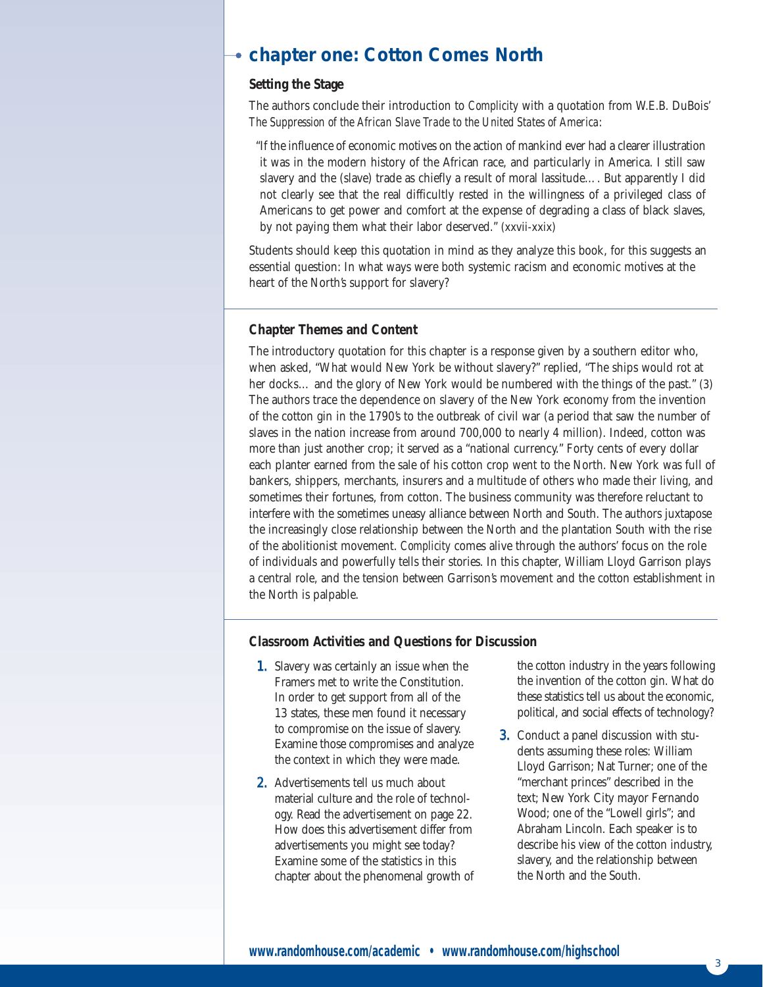# **chapter one: Cotton Comes North**

# **Setting the Stage**

The authors conclude their introduction to *Complicity* with a quotation from W.E.B. DuBois' *The Suppression of the African Slave Trade to the United States of America*:

"If the influence of economic motives on the action of mankind ever had a clearer illustration it was in the modern history of the African race, and particularly in America. I still saw slavery and the (slave) trade as chiefly a result of moral lassitude…. But apparently I did not clearly see that the real difficultly rested in the willingness of a privileged class of Americans to get power and comfort at the expense of degrading a class of black slaves, by not paying them what their labor deserved." (xxvii-xxix)

Students should keep this quotation in mind as they analyze this book, for this suggests an essential question: In what ways were both systemic racism and economic motives at the heart of the North's support for slavery?

# **Chapter Themes and Content**

The introductory quotation for this chapter is a response given by a southern editor who, when asked, "What would New York be without slavery?" replied, "The ships would rot at her docks... and the glory of New York would be numbered with the things of the past." (3) The authors trace the dependence on slavery of the New York economy from the invention of the cotton gin in the 1790's to the outbreak of civil war (a period that saw the number of slaves in the nation increase from around 700,000 to nearly 4 million). Indeed, cotton was more than just another crop; it served as a "national currency." Forty cents of every dollar each planter earned from the sale of his cotton crop went to the North. New York was full of bankers, shippers, merchants, insurers and a multitude of others who made their living, and sometimes their fortunes, from cotton. The business community was therefore reluctant to interfere with the sometimes uneasy alliance between North and South. The authors juxtapose the increasingly close relationship between the North and the plantation South with the rise of the abolitionist movement. *Complicity* comes alive through the authors' focus on the role of individuals and powerfully tells their stories. In this chapter, William Lloyd Garrison plays a central role, and the tension between Garrison's movement and the cotton establishment in the North is palpable.

### **Classroom Activities and Questions for Discussion**

- 1. Slavery was certainly an issue when the Framers met to write the Constitution. In order to get support from all of the 13 states, these men found it necessary to compromise on the issue of slavery. Examine those compromises and analyze the context in which they were made.
- 2. Advertisements tell us much about material culture and the role of technology. Read the advertisement on page 22. How does this advertisement differ from advertisements you might see today? Examine some of the statistics in this chapter about the phenomenal growth of

the cotton industry in the years following the invention of the cotton gin. What do these statistics tell us about the economic, political, and social effects of technology?

3. Conduct a panel discussion with students assuming these roles: William Lloyd Garrison; Nat Turner; one of the "merchant princes" described in the text; New York City mayor Fernando Wood; one of the "Lowell girls"; and Abraham Lincoln. Each speaker is to describe his view of the cotton industry, slavery, and the relationship between the North and the South.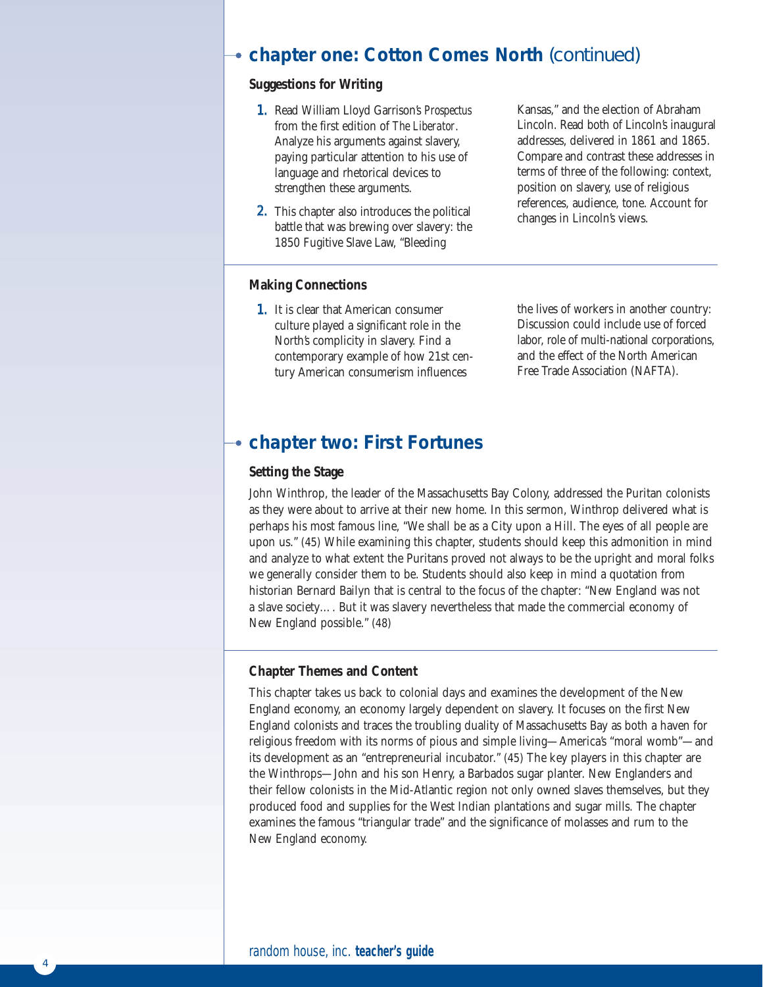# **chapter one: Cotton Comes North** (continued)

# **Suggestions for Writing**

- 1. Read William Lloyd Garrison's *Prospectus* from the first edition of *The Liberator*. Analyze his arguments against slavery, paying particular attention to his use of language and rhetorical devices to strengthen these arguments.
- 2. This chapter also introduces the political battle that was brewing over slavery: the 1850 Fugitive Slave Law, "Bleeding

Kansas," and the election of Abraham Lincoln. Read both of Lincoln's inaugural addresses, delivered in 1861 and 1865. Compare and contrast these addresses in terms of three of the following: context, position on slavery, use of religious references, audience, tone. Account for changes in Lincoln's views.

# **Making Connections**

1. It is clear that American consumer culture played a significant role in the North's complicity in slavery. Find a contemporary example of how 21st century American consumerism influences

the lives of workers in another country: Discussion could include use of forced labor, role of multi-national corporations, and the effect of the North American Free Trade Association (NAFTA).

# **chapter two: First Fortunes**

# **Setting the Stage**

John Winthrop, the leader of the Massachusetts Bay Colony, addressed the Puritan colonists as they were about to arrive at their new home. In this sermon, Winthrop delivered what is perhaps his most famous line, "We shall be as a City upon a Hill. The eyes of all people are upon us." (45) While examining this chapter, students should keep this admonition in mind and analyze to what extent the Puritans proved not always to be the upright and moral folks we generally consider them to be. Students should also keep in mind a quotation from historian Bernard Bailyn that is central to the focus of the chapter: "New England was not a slave society…. But it was slavery nevertheless that made the commercial economy of New England possible." (48)

### **Chapter Themes and Content**

This chapter takes us back to colonial days and examines the development of the New England economy, an economy largely dependent on slavery. It focuses on the first New England colonists and traces the troubling duality of Massachusetts Bay as both a haven for religious freedom with its norms of pious and simple living—America's "moral womb"—and its development as an "entrepreneurial incubator." (45) The key players in this chapter are the Winthrops—John and his son Henry, a Barbados sugar planter. New Englanders and their fellow colonists in the Mid-Atlantic region not only owned slaves themselves, but they produced food and supplies for the West Indian plantations and sugar mills. The chapter examines the famous "triangular trade" and the significance of molasses and rum to the New England economy.

4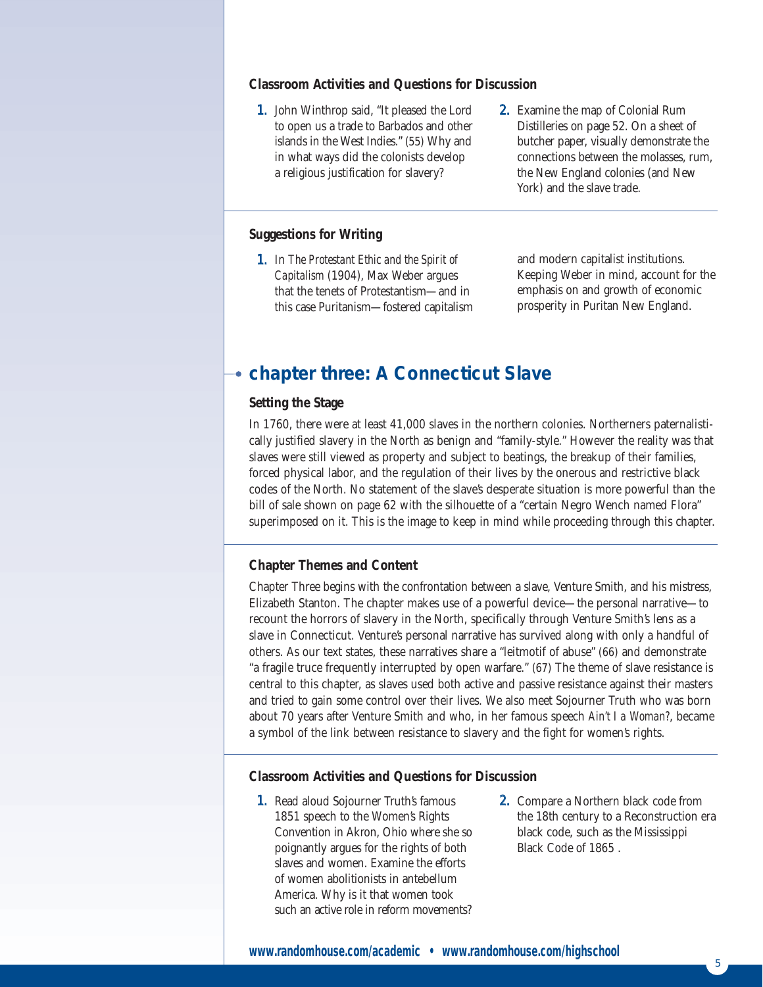### **Classroom Activities and Questions for Discussion**

- 1. John Winthrop said, "It pleased the Lord to open us a trade to Barbados and other islands in the West Indies." (55) Why and in what ways did the colonists develop a religious justification for slavery?
- 2. Examine the map of Colonial Rum Distilleries on page 52. On a sheet of butcher paper, visually demonstrate the connections between the molasses, rum, the New England colonies (and New York) and the slave trade.

# **Suggestions for Writing**

1. In *The Protestant Ethic and the Spirit of Capitalism* (1904), Max Weber argues that the tenets of Protestantism—and in this case Puritanism—fostered capitalism and modern capitalist institutions. Keeping Weber in mind, account for the emphasis on and growth of economic prosperity in Puritan New England.

# **chapter three: A Connecticut Slave**

### **Setting the Stage**

In 1760, there were at least 41,000 slaves in the northern colonies. Northerners paternalistically justified slavery in the North as benign and "family-style." However the reality was that slaves were still viewed as property and subject to beatings, the breakup of their families, forced physical labor, and the regulation of their lives by the onerous and restrictive black codes of the North. No statement of the slave's desperate situation is more powerful than the bill of sale shown on page 62 with the silhouette of a "certain Negro Wench named Flora" superimposed on it. This is the image to keep in mind while proceeding through this chapter.

# **Chapter Themes and Content**

Chapter Three begins with the confrontation between a slave, Venture Smith, and his mistress, Elizabeth Stanton. The chapter makes use of a powerful device—the personal narrative—to recount the horrors of slavery in the North, specifically through Venture Smith's lens as a slave in Connecticut. Venture's personal narrative has survived along with only a handful of others. As our text states, these narratives share a "leitmotif of abuse" (66) and demonstrate "a fragile truce frequently interrupted by open warfare." (67) The theme of slave resistance is central to this chapter, as slaves used both active and passive resistance against their masters and tried to gain some control over their lives. We also meet Sojourner Truth who was born about 70 years after Venture Smith and who, in her famous speech *Ain't I a Woman?*, became a symbol of the link between resistance to slavery and the fight for women's rights.

### **Classroom Activities and Questions for Discussion**

- 1. Read aloud Sojourner Truth's famous 1851 speech to the Women's Rights Convention in Akron, Ohio where she so poignantly argues for the rights of both slaves and women. Examine the efforts of women abolitionists in antebellum America. Why is it that women took such an active role in reform movements?
- 2. Compare a Northern black code from the 18th century to a Reconstruction era black code, such as the Mississippi Black Code of 1865 .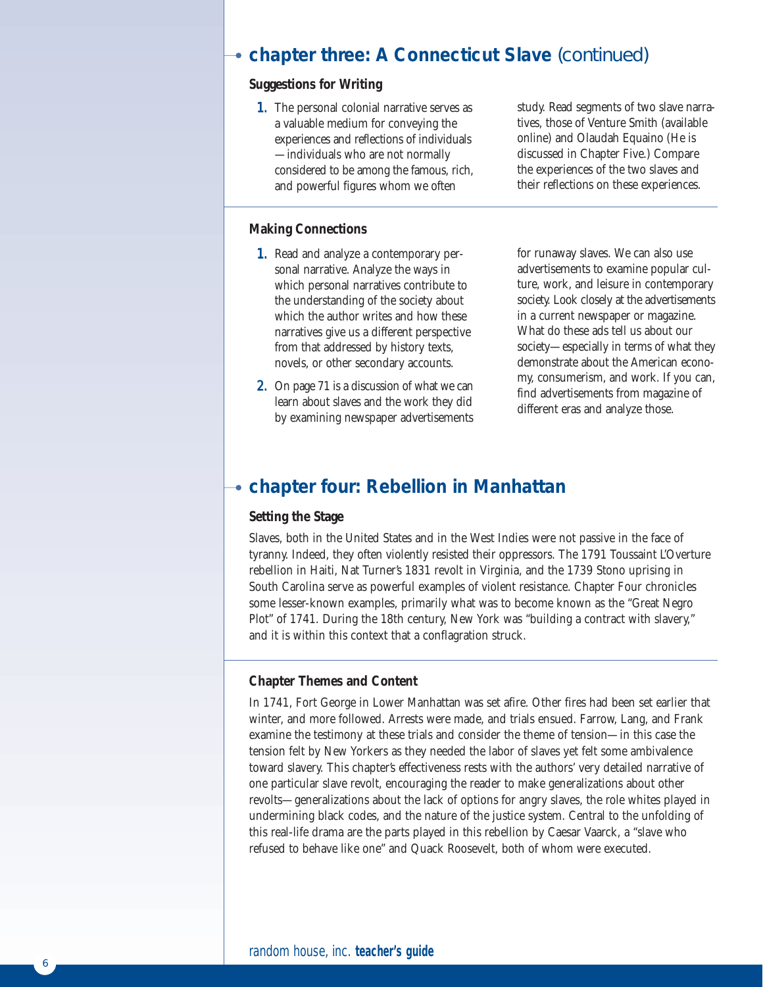# **chapter three: A Connecticut Slave** (continued)

# **Suggestions for Writing**

1. The personal colonial narrative serves as a valuable medium for conveying the experiences and reflections of individuals —individuals who are not normally considered to be among the famous, rich, and powerful figures whom we often

# **Making Connections**

- 1. Read and analyze a contemporary personal narrative. Analyze the ways in which personal narratives contribute to the understanding of the society about which the author writes and how these narratives give us a different perspective from that addressed by history texts, novels, or other secondary accounts.
- **2.** On page 71 is a discussion of what we can learn about slaves and the work they did by examining newspaper advertisements

study. Read segments of two slave narratives, those of Venture Smith (available online) and Olaudah Equaino (He is discussed in Chapter Five.) Compare the experiences of the two slaves and their reflections on these experiences.

for runaway slaves. We can also use advertisements to examine popular culture, work, and leisure in contemporary society. Look closely at the advertisements in a current newspaper or magazine. What do these ads tell us about our society—especially in terms of what they demonstrate about the American economy, consumerism, and work. If you can, find advertisements from magazine of different eras and analyze those.

# **chapter four: Rebellion in Manhattan**

# **Setting the Stage**

Slaves, both in the United States and in the West Indies were not passive in the face of tyranny. Indeed, they often violently resisted their oppressors. The 1791 Toussaint L'Overture rebellion in Haiti, Nat Turner's 1831 revolt in Virginia, and the 1739 Stono uprising in South Carolina serve as powerful examples of violent resistance. Chapter Four chronicles some lesser-known examples, primarily what was to become known as the "Great Negro Plot" of 1741. During the 18th century, New York was "building a contract with slavery," and it is within this context that a conflagration struck.

# **Chapter Themes and Content**

In 1741, Fort George in Lower Manhattan was set afire. Other fires had been set earlier that winter, and more followed. Arrests were made, and trials ensued. Farrow, Lang, and Frank examine the testimony at these trials and consider the theme of tension—in this case the tension felt by New Yorkers as they needed the labor of slaves yet felt some ambivalence toward slavery. This chapter's effectiveness rests with the authors' very detailed narrative of one particular slave revolt, encouraging the reader to make generalizations about other revolts—generalizations about the lack of options for angry slaves, the role whites played in undermining black codes, and the nature of the justice system. Central to the unfolding of this real-life drama are the parts played in this rebellion by Caesar Vaarck, a "slave who refused to behave like one" and Quack Roosevelt, both of whom were executed.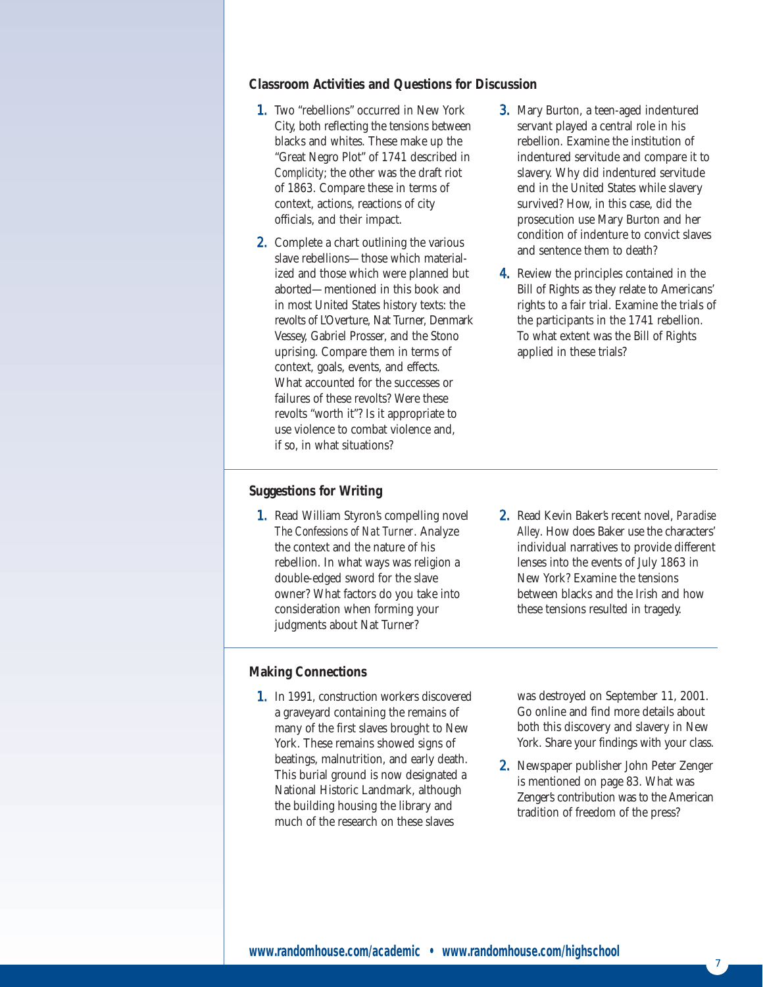# **Classroom Activities and Questions for Discussion**

- 1. Two "rebellions" occurred in New York City, both reflecting the tensions between blacks and whites. These make up the "Great Negro Plot" of 1741 described in *Complicity*; the other was the draft riot of 1863. Compare these in terms of context, actions, reactions of city officials, and their impact.
- 2. Complete a chart outlining the various slave rebellions—those which materialized and those which were planned but aborted—mentioned in this book and in most United States history texts: the revolts of L'Overture, Nat Turner, Denmark Vessey, Gabriel Prosser, and the Stono uprising. Compare them in terms of context, goals, events, and effects. What accounted for the successes or failures of these revolts? Were these revolts "worth it"? Is it appropriate to use violence to combat violence and, if so, in what situations?
- 3. Mary Burton, a teen-aged indentured servant played a central role in his rebellion. Examine the institution of indentured servitude and compare it to slavery. Why did indentured servitude end in the United States while slavery survived? How, in this case, did the prosecution use Mary Burton and her condition of indenture to convict slaves and sentence them to death?
- 4. Review the principles contained in the Bill of Rights as they relate to Americans' rights to a fair trial. Examine the trials of the participants in the 1741 rebellion. To what extent was the Bill of Rights applied in these trials?

### **Suggestions for Writing**

1. Read William Styron's compelling novel *The Confessions of Nat Turner*. Analyze the context and the nature of his rebellion. In what ways was religion a double-edged sword for the slave owner? What factors do you take into consideration when forming your judgments about Nat Turner?

### **Making Connections**

- 1. In 1991, construction workers discovered a graveyard containing the remains of many of the first slaves brought to New York. These remains showed signs of beatings, malnutrition, and early death. This burial ground is now designated a National Historic Landmark, although the building housing the library and much of the research on these slaves
- 2. Read Kevin Baker's recent novel, *Paradise Alley*. How does Baker use the characters' individual narratives to provide different lenses into the events of July 1863 in New York? Examine the tensions between blacks and the Irish and how these tensions resulted in tragedy.

was destroyed on September 11, 2001. Go online and find more details about both this discovery and slavery in New York. Share your findings with your class.

2. Newspaper publisher John Peter Zenger is mentioned on page 83. What was Zenger's contribution was to the American tradition of freedom of the press?

7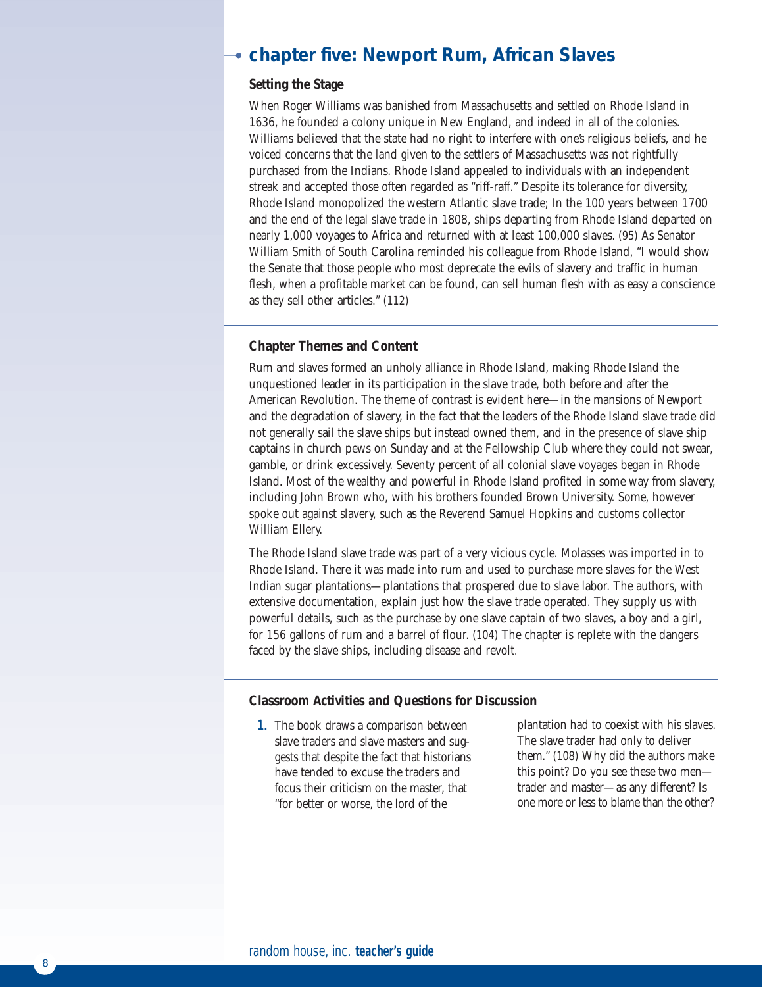# **chapter five: Newport Rum, African Slaves**

# **Setting the Stage**

When Roger Williams was banished from Massachusetts and settled on Rhode Island in 1636, he founded a colony unique in New England, and indeed in all of the colonies. Williams believed that the state had no right to interfere with one's religious beliefs, and he voiced concerns that the land given to the settlers of Massachusetts was not rightfully purchased from the Indians. Rhode Island appealed to individuals with an independent streak and accepted those often regarded as "riff-raff." Despite its tolerance for diversity, Rhode Island monopolized the western Atlantic slave trade; In the 100 years between 1700 and the end of the legal slave trade in 1808, ships departing from Rhode Island departed on nearly 1,000 voyages to Africa and returned with at least 100,000 slaves. (95) As Senator William Smith of South Carolina reminded his colleague from Rhode Island, "I would show the Senate that those people who most deprecate the evils of slavery and traffic in human flesh, when a profitable market can be found, can sell human flesh with as easy a conscience as they sell other articles." (112)

### **Chapter Themes and Content**

Rum and slaves formed an unholy alliance in Rhode Island, making Rhode Island the unquestioned leader in its participation in the slave trade, both before and after the American Revolution. The theme of contrast is evident here—in the mansions of Newport and the degradation of slavery, in the fact that the leaders of the Rhode Island slave trade did not generally sail the slave ships but instead owned them, and in the presence of slave ship captains in church pews on Sunday and at the Fellowship Club where they could not swear, gamble, or drink excessively. Seventy percent of all colonial slave voyages began in Rhode Island. Most of the wealthy and powerful in Rhode Island profited in some way from slavery, including John Brown who, with his brothers founded Brown University. Some, however spoke out against slavery, such as the Reverend Samuel Hopkins and customs collector William Ellery.

The Rhode Island slave trade was part of a very vicious cycle. Molasses was imported in to Rhode Island. There it was made into rum and used to purchase more slaves for the West Indian sugar plantations—plantations that prospered due to slave labor. The authors, with extensive documentation, explain just how the slave trade operated. They supply us with powerful details, such as the purchase by one slave captain of two slaves, a boy and a girl, for 156 gallons of rum and a barrel of flour. (104) The chapter is replete with the dangers faced by the slave ships, including disease and revolt.

### **Classroom Activities and Questions for Discussion**

1. The book draws a comparison between slave traders and slave masters and suggests that despite the fact that historians have tended to excuse the traders and focus their criticism on the master, that "for better or worse, the lord of the

plantation had to coexist with his slaves. The slave trader had only to deliver them." (108) Why did the authors make this point? Do you see these two men trader and master—as any different? Is one more or less to blame than the other?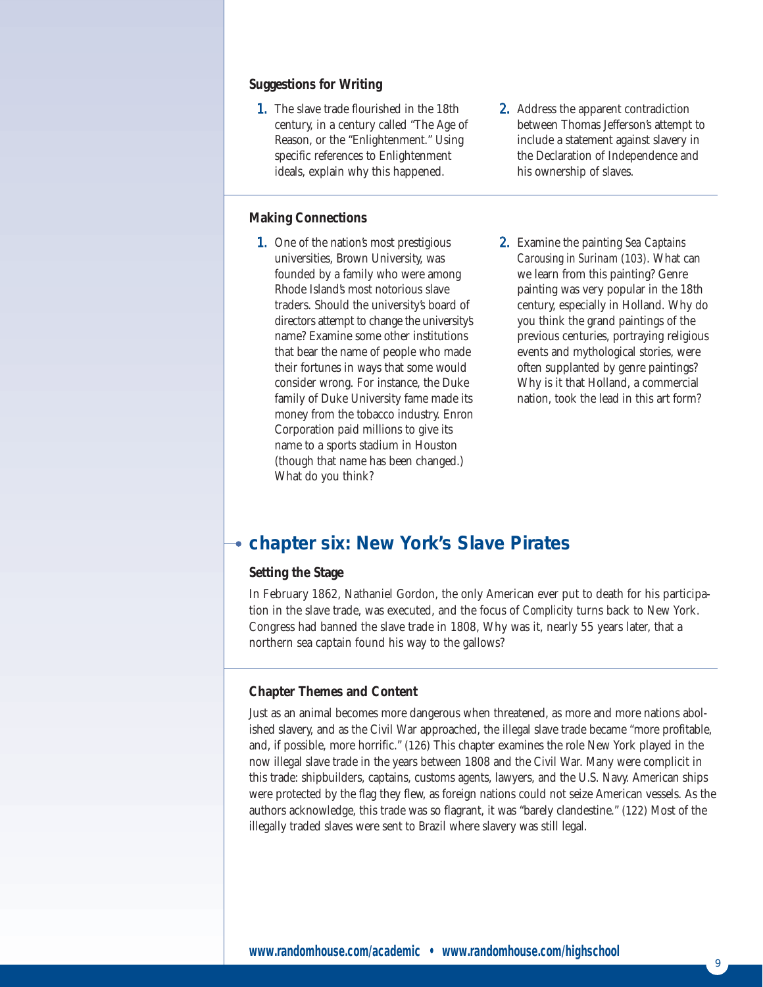### **Suggestions for Writing**

1. The slave trade flourished in the 18th century, in a century called "The Age of Reason, or the "Enlightenment." Using specific references to Enlightenment ideals, explain why this happened.

# **Making Connections**

- 1. One of the nation's most prestigious universities, Brown University, was founded by a family who were among Rhode Island's most notorious slave traders. Should the university's board of directors attempt to change the university's name? Examine some other institutions that bear the name of people who made their fortunes in ways that some would consider wrong. For instance, the Duke family of Duke University fame made its money from the tobacco industry. Enron Corporation paid millions to give its name to a sports stadium in Houston (though that name has been changed.) What do you think?
- 2. Address the apparent contradiction between Thomas Jefferson's attempt to include a statement against slavery in the Declaration of Independence and his ownership of slaves.
- 2. Examine the painting *Sea Captains Carousing in Surinam* (103). What can we learn from this painting? Genre painting was very popular in the 18th century, especially in Holland. Why do you think the grand paintings of the previous centuries, portraying religious events and mythological stories, were often supplanted by genre paintings? Why is it that Holland, a commercial nation, took the lead in this art form?

# **chapter six: New York's Slave Pirates**

# **Setting the Stage**

In February 1862, Nathaniel Gordon, the only American ever put to death for his participation in the slave trade, was executed, and the focus of *Complicity* turns back to New York. Congress had banned the slave trade in 1808, Why was it, nearly 55 years later, that a northern sea captain found his way to the gallows?

# **Chapter Themes and Content**

Just as an animal becomes more dangerous when threatened, as more and more nations abolished slavery, and as the Civil War approached, the illegal slave trade became "more profitable, and, if possible, more horrific." (126) This chapter examines the role New York played in the now illegal slave trade in the years between 1808 and the Civil War. Many were complicit in this trade: shipbuilders, captains, customs agents, lawyers, and the U.S. Navy. American ships were protected by the flag they flew, as foreign nations could not seize American vessels. As the authors acknowledge, this trade was so flagrant, it was "barely clandestine." (122) Most of the illegally traded slaves were sent to Brazil where slavery was still legal.

9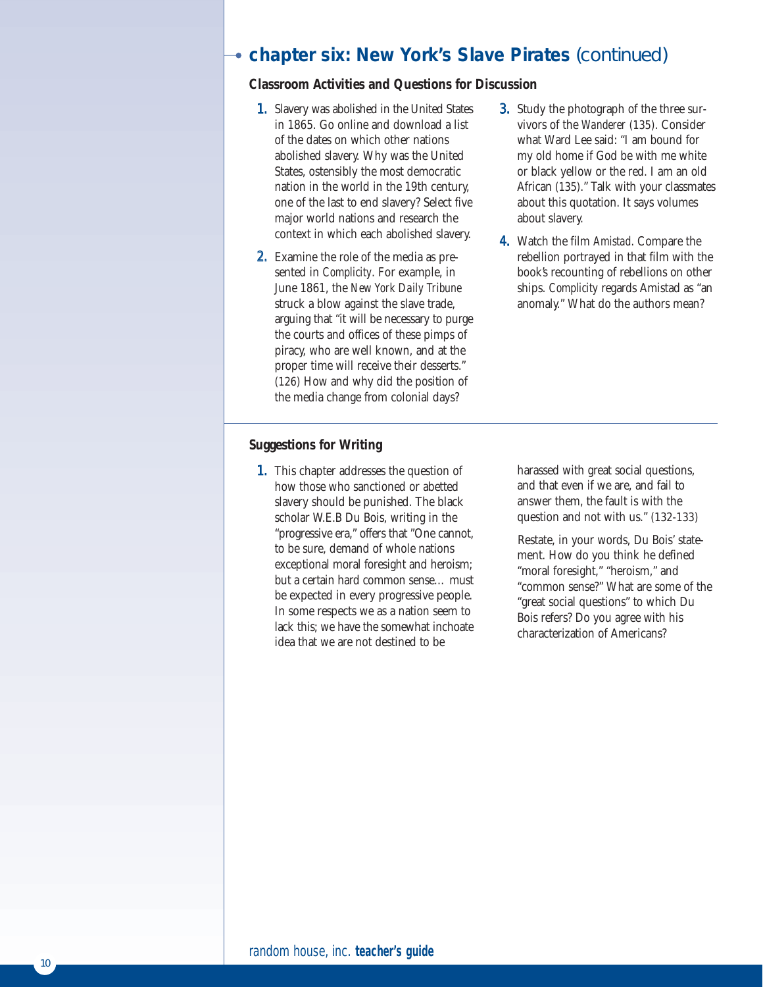# **chapter six: New York's Slave Pirates** (continued)

# **Classroom Activities and Questions for Discussion**

- 1. Slavery was abolished in the United States in 1865. Go online and download a list of the dates on which other nations abolished slavery. Why was the United States, ostensibly the most democratic nation in the world in the 19th century, one of the last to end slavery? Select five major world nations and research the context in which each abolished slavery.
- 2. Examine the role of the media as presented in *Complicity*. For example, in June 1861, the *New York Daily Tribune* struck a blow against the slave trade, arguing that "it will be necessary to purge the courts and offices of these pimps of piracy, who are well known, and at the proper time will receive their desserts." (126) How and why did the position of the media change from colonial days?
- 3. Study the photograph of the three survivors of the *Wanderer* (135). Consider what Ward Lee said: "I am bound for my old home if God be with me white or black yellow or the red. I am an old African (135)." Talk with your classmates about this quotation. It says volumes about slavery.
- 4. Watch the film *Amistad*. Compare the rebellion portrayed in that film with the book's recounting of rebellions on other ships. *Complicity* regards Amistad as "an anomaly." What do the authors mean?

# **Suggestions for Writing**

1. This chapter addresses the question of how those who sanctioned or abetted slavery should be punished. The black scholar W.E.B Du Bois, writing in the "progressive era," offers that "One cannot, to be sure, demand of whole nations exceptional moral foresight and heroism; but a certain hard common sense… must be expected in every progressive people. In some respects we as a nation seem to lack this; we have the somewhat inchoate idea that we are not destined to be

harassed with great social questions, and that even if we are, and fail to answer them, the fault is with the question and not with us." (132-133)

Restate, in your words, Du Bois' statement. How do you think he defined "moral foresight," "heroism," and "common sense?" What are some of the "great social questions" to which Du Bois refers? Do you agree with his characterization of Americans?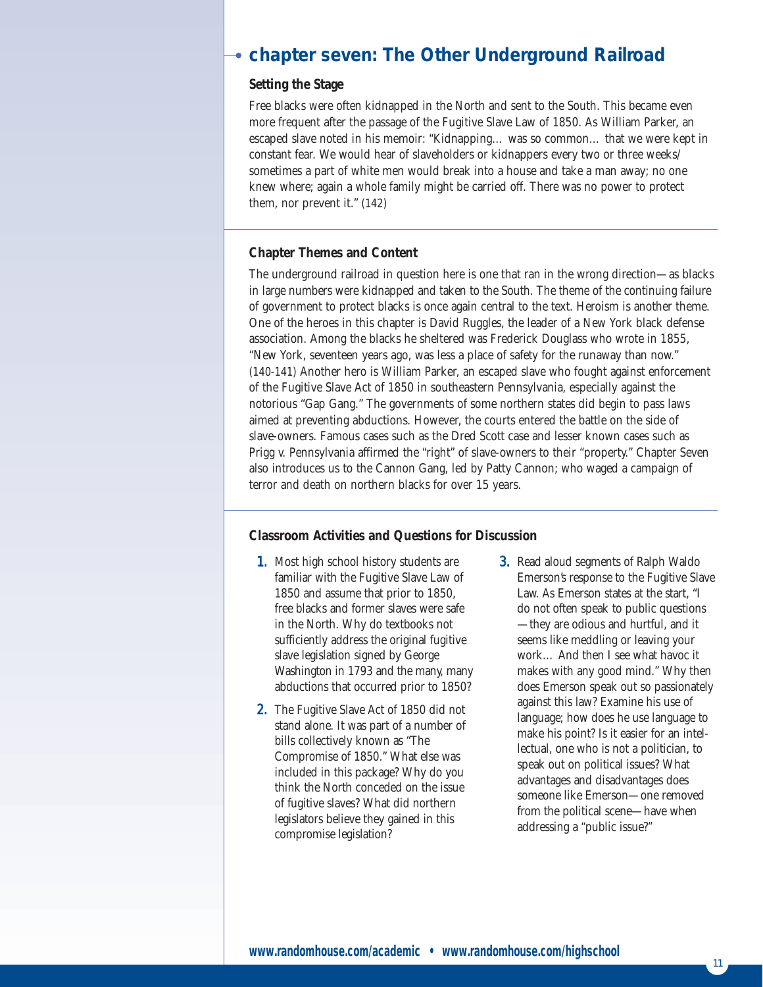# **chapter seven: The Other Underground Railroad**

# **Setting the Stage**

Free blacks were often kidnapped in the North and sent to the South. This became even more frequent after the passage of the Fugitive Slave Law of 1850. As William Parker, an escaped slave noted in his memoir: "Kidnapping… was so common… that we were kept in constant fear. We would hear of slaveholders or kidnappers every two or three weeks/ sometimes a part of white men would break into a house and take a man away; no one knew where; again a whole family might be carried off. There was no power to protect them, nor prevent it." (142)

### **Chapter Themes and Content**

The underground railroad in question here is one that ran in the wrong direction—as blacks in large numbers were kidnapped and taken to the South. The theme of the continuing failure of government to protect blacks is once again central to the text. Heroism is another theme. One of the heroes in this chapter is David Ruggles, the leader of a New York black defense association. Among the blacks he sheltered was Frederick Douglass who wrote in 1855, "New York, seventeen years ago, was less a place of safety for the runaway than now." (140-141) Another hero is William Parker, an escaped slave who fought against enforcement of the Fugitive Slave Act of 1850 in southeastern Pennsylvania, especially against the notorious "Gap Gang." The governments of some northern states did begin to pass laws aimed at preventing abductions. However, the courts entered the battle on the side of slave-owners. Famous cases such as the Dred Scott case and lesser known cases such as Prigg v. Pennsylvania affirmed the "right" of slave-owners to their "property." Chapter Seven also introduces us to the Cannon Gang, led by Patty Cannon; who waged a campaign of terror and death on northern blacks for over 15 years.

### **Classroom Activities and Questions for Discussion**

- 1. Most high school history students are familiar with the Fugitive Slave Law of 1850 and assume that prior to 1850, free blacks and former slaves were safe in the North. Why do textbooks not sufficiently address the original fugitive slave legislation signed by George Washington in 1793 and the many, many abductions that occurred prior to 1850?
- 2. The Fugitive Slave Act of 1850 did not stand alone. It was part of a number of bills collectively known as "The Compromise of 1850." What else was included in this package? Why do you think the North conceded on the issue of fugitive slaves? What did northern legislators believe they gained in this compromise legislation?
- 3. Read aloud segments of Ralph Waldo Emerson's response to the Fugitive Slave Law. As Emerson states at the start, "I do not often speak to public questions —they are odious and hurtful, and it seems like meddling or leaving your work… And then I see what havoc it makes with any good mind." Why then does Emerson speak out so passionately against this law? Examine his use of language; how does he use language to make his point? Is it easier for an intellectual, one who is not a politician, to speak out on political issues? What advantages and disadvantages does someone like Emerson—one removed from the political scene—have when addressing a "public issue?"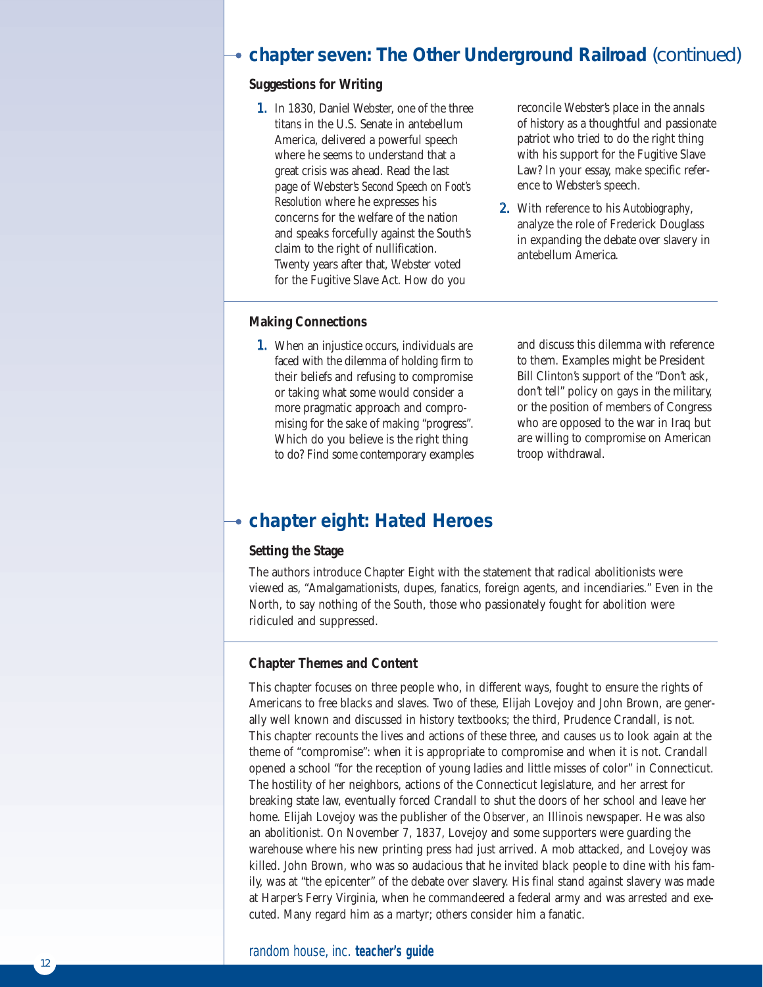# **chapter seven: The Other Underground Railroad** (continued)

# **Suggestions for Writing**

1. In 1830, Daniel Webster, one of the three titans in the U.S. Senate in antebellum America, delivered a powerful speech where he seems to understand that a great crisis was ahead. Read the last page of Webster's *Second Speech on Foot's Resolution* where he expresses his concerns for the welfare of the nation and speaks forcefully against the South's claim to the right of nullification. Twenty years after that, Webster voted for the Fugitive Slave Act. How do you

reconcile Webster's place in the annals of history as a thoughtful and passionate patriot who tried to do the right thing with his support for the Fugitive Slave Law? In your essay, make specific reference to Webster's speech.

2. With reference to his *Autobiography*, analyze the role of Frederick Douglass in expanding the debate over slavery in antebellum America.

# **Making Connections**

**1.** When an injustice occurs, individuals are faced with the dilemma of holding firm to their beliefs and refusing to compromise or taking what some would consider a more pragmatic approach and compromising for the sake of making "progress". Which do you believe is the right thing to do? Find some contemporary examples and discuss this dilemma with reference to them. Examples might be President Bill Clinton's support of the "Don't ask, don't tell" policy on gays in the military, or the position of members of Congress who are opposed to the war in Iraq but are willing to compromise on American troop withdrawal.

# **chapter eight: Hated Heroes**

### **Setting the Stage**

The authors introduce Chapter Eight with the statement that radical abolitionists were viewed as, "Amalgamationists, dupes, fanatics, foreign agents, and incendiaries." Even in the North, to say nothing of the South, those who passionately fought for abolition were ridiculed and suppressed.

# **Chapter Themes and Content**

This chapter focuses on three people who, in different ways, fought to ensure the rights of Americans to free blacks and slaves. Two of these, Elijah Lovejoy and John Brown, are generally well known and discussed in history textbooks; the third, Prudence Crandall, is not. This chapter recounts the lives and actions of these three, and causes us to look again at the theme of "compromise": when it is appropriate to compromise and when it is not. Crandall opened a school "for the reception of young ladies and little misses of color" in Connecticut. The hostility of her neighbors, actions of the Connecticut legislature, and her arrest for breaking state law, eventually forced Crandall to shut the doors of her school and leave her home. Elijah Lovejoy was the publisher of the *Observer*, an Illinois newspaper. He was also an abolitionist. On November 7, 1837, Lovejoy and some supporters were guarding the warehouse where his new printing press had just arrived. A mob attacked, and Lovejoy was killed. John Brown, who was so audacious that he invited black people to dine with his family, was at "the epicenter" of the debate over slavery. His final stand against slavery was made at Harper's Ferry Virginia, when he commandeered a federal army and was arrested and executed. Many regard him as a martyr; others consider him a fanatic.

# random house, inc. **teacher's guide**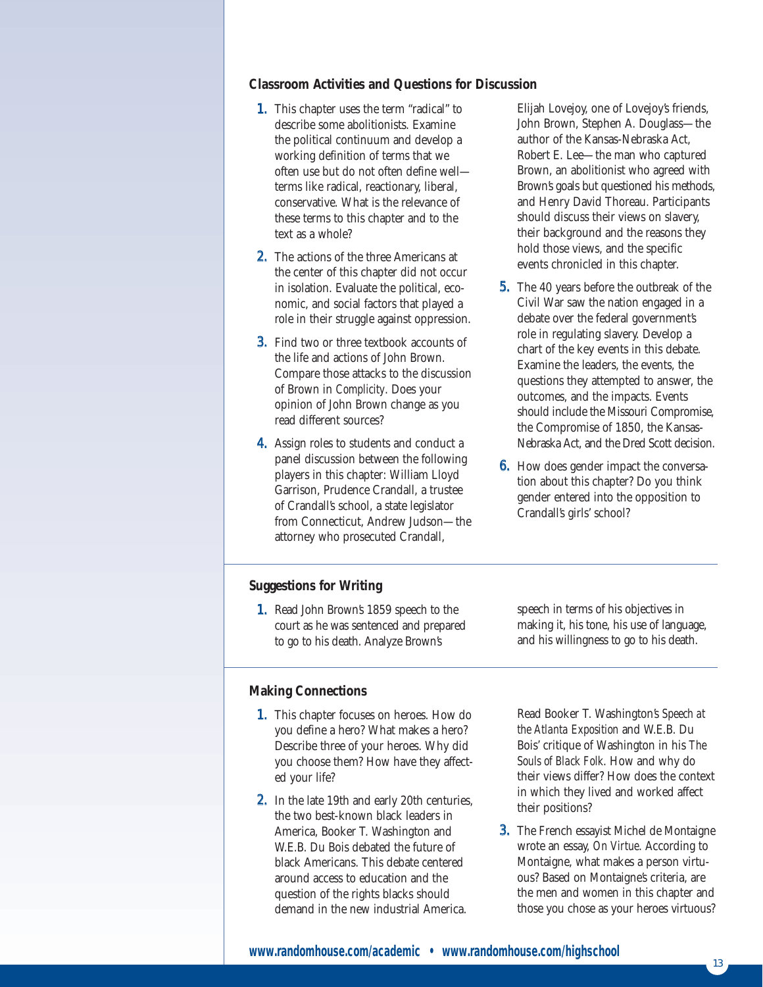# **Classroom Activities and Questions for Discussion**

- 1. This chapter uses the term "radical" to describe some abolitionists. Examine the political continuum and develop a working definition of terms that we often use but do not often define well terms like radical, reactionary, liberal, conservative. What is the relevance of these terms to this chapter and to the text as a whole?
- 2. The actions of the three Americans at the center of this chapter did not occur in isolation. Evaluate the political, economic, and social factors that played a role in their struggle against oppression.
- **3.** Find two or three textbook accounts of the life and actions of John Brown. Compare those attacks to the discussion of Brown in *Complicity*. Does your opinion of John Brown change as you read different sources?
- 4. Assign roles to students and conduct a panel discussion between the following players in this chapter: William Lloyd Garrison, Prudence Crandall, a trustee of Crandall's school, a state legislator from Connecticut, Andrew Judson—the attorney who prosecuted Crandall,

Elijah Lovejoy, one of Lovejoy's friends, John Brown, Stephen A. Douglass—the author of the Kansas-Nebraska Act, Robert E. Lee—the man who captured Brown, an abolitionist who agreed with Brown's goals but questioned his methods, and Henry David Thoreau. Participants should discuss their views on slavery, their background and the reasons they hold those views, and the specific events chronicled in this chapter.

- 5. The 40 years before the outbreak of the Civil War saw the nation engaged in a debate over the federal government's role in regulating slavery. Develop a chart of the key events in this debate. Examine the leaders, the events, the questions they attempted to answer, the outcomes, and the impacts. Events should include the Missouri Compromise, the Compromise of 1850, the Kansas-Nebraska Act, and the Dred Scott decision.
- 6. How does gender impact the conversation about this chapter? Do you think gender entered into the opposition to Crandall's girls' school?

# **Suggestions for Writing**

1. Read John Brown's 1859 speech to the court as he was sentenced and prepared to go to his death. Analyze Brown's

speech in terms of his objectives in making it, his tone, his use of language, and his willingness to go to his death.

### **Making Connections**

- 1. This chapter focuses on heroes. How do you define a hero? What makes a hero? Describe three of your heroes. Why did you choose them? How have they affected your life?
- 2. In the late 19th and early 20th centuries, the two best-known black leaders in America, Booker T. Washington and W.E.B. Du Bois debated the future of black Americans. This debate centered around access to education and the question of the rights blacks should demand in the new industrial America.

Read Booker T. Washington's *Speech at the Atlanta Exposition* and W.E.B. Du Bois' critique of Washington in his *The Souls of Black Folk*. How and why do their views differ? How does the context in which they lived and worked affect their positions?

3. The French essayist Michel de Montaigne wrote an essay, *On Virtue*. According to Montaigne, what makes a person virtuous? Based on Montaigne's criteria, are the men and women in this chapter and those you chose as your heroes virtuous?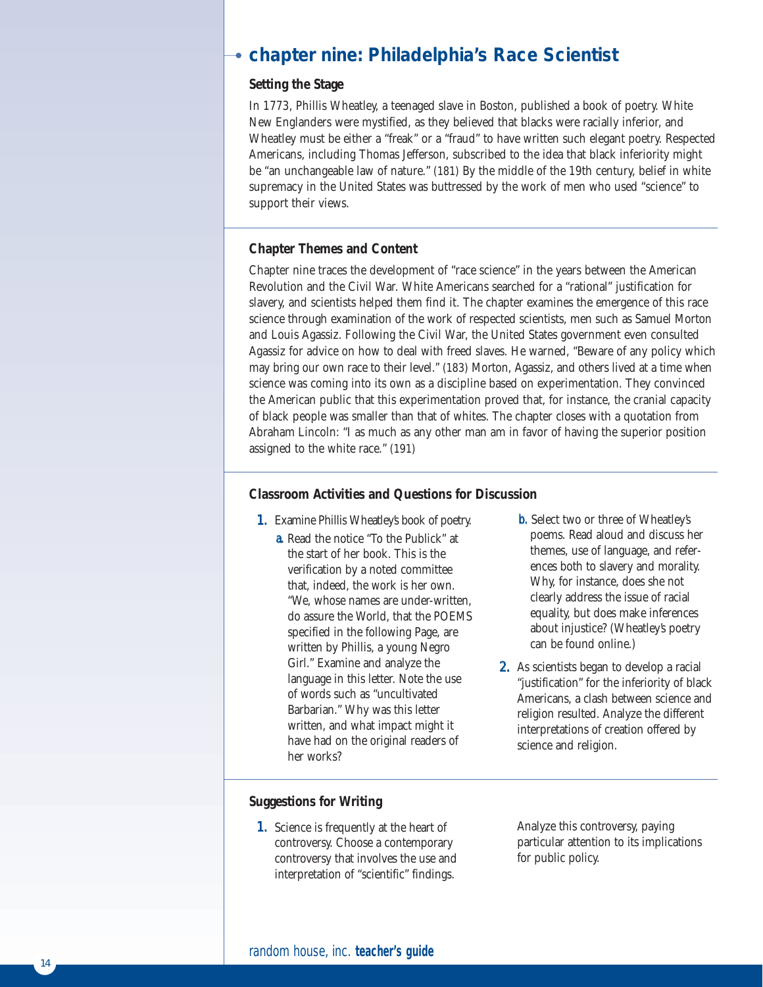# **chapter nine: Philadelphia's Race Scientist**

# **Setting the Stage**

In 1773, Phillis Wheatley, a teenaged slave in Boston, published a book of poetry. White New Englanders were mystified, as they believed that blacks were racially inferior, and Wheatley must be either a "freak" or a "fraud" to have written such elegant poetry. Respected Americans, including Thomas Jefferson, subscribed to the idea that black inferiority might be "an unchangeable law of nature." (181) By the middle of the 19th century, belief in white supremacy in the United States was buttressed by the work of men who used "science" to support their views.

# **Chapter Themes and Content**

Chapter nine traces the development of "race science" in the years between the American Revolution and the Civil War. White Americans searched for a "rational" justification for slavery, and scientists helped them find it. The chapter examines the emergence of this race science through examination of the work of respected scientists, men such as Samuel Morton and Louis Agassiz. Following the Civil War, the United States government even consulted Agassiz for advice on how to deal with freed slaves. He warned, "Beware of any policy which may bring our own race to their level." (183) Morton, Agassiz, and others lived at a time when science was coming into its own as a discipline based on experimentation. They convinced the American public that this experimentation proved that, for instance, the cranial capacity of black people was smaller than that of whites. The chapter closes with a quotation from Abraham Lincoln: "I as much as any other man am in favor of having the superior position assigned to the white race." (191)

# **Classroom Activities and Questions for Discussion**

- 1. Examine Phillis Wheatley's book of poetry.
	- a. Read the notice "To the Publick" at the start of her book. This is the verification by a noted committee that, indeed, the work is her own. "We, whose names are under-written, do assure the World, that the POEMS specified in the following Page, are written by Phillis, a young Negro Girl." Examine and analyze the language in this letter. Note the use of words such as "uncultivated Barbarian." Why was this letter written, and what impact might it have had on the original readers of her works?
- **b.** Select two or three of Wheatley's poems. Read aloud and discuss her themes, use of language, and references both to slavery and morality. Why, for instance, does she not clearly address the issue of racial equality, but does make inferences about injustice? (Wheatley's poetry can be found online.)
- 2. As scientists began to develop a racial "justification" for the inferiority of black Americans, a clash between science and religion resulted. Analyze the different interpretations of creation offered by science and religion.

# **Suggestions for Writing**

1. Science is frequently at the heart of controversy. Choose a contemporary controversy that involves the use and interpretation of "scientific" findings.

Analyze this controversy, paying particular attention to its implications for public policy.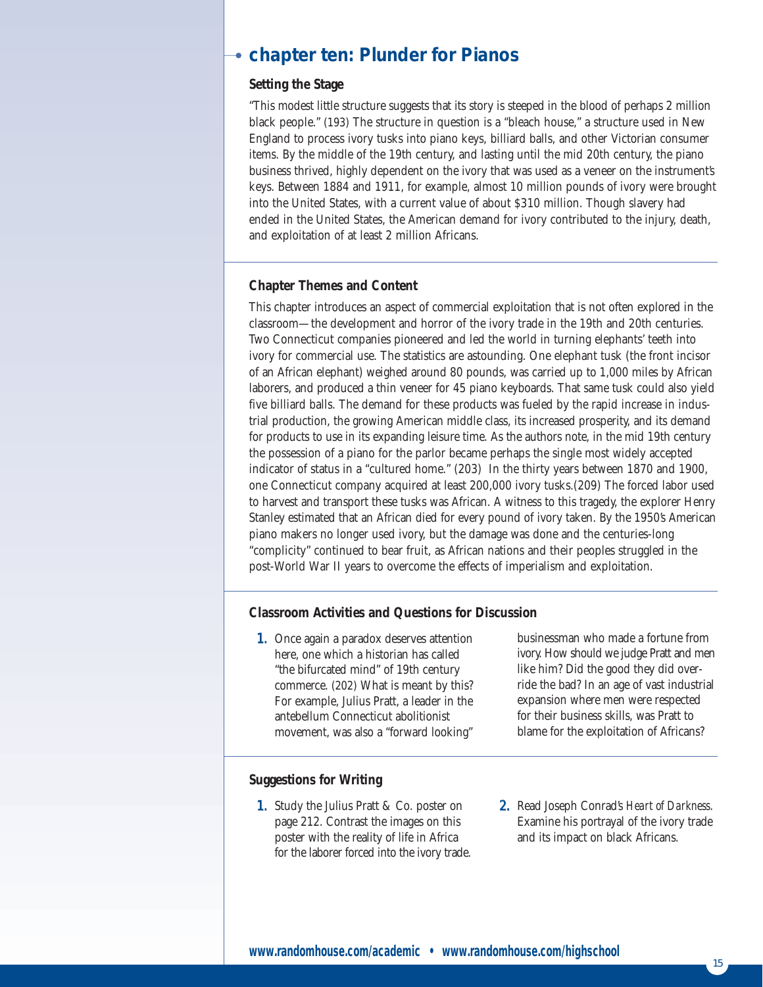# **chapter ten: Plunder for Pianos**

# **Setting the Stage**

"This modest little structure suggests that its story is steeped in the blood of perhaps 2 million black people." (193) The structure in question is a "bleach house," a structure used in New England to process ivory tusks into piano keys, billiard balls, and other Victorian consumer items. By the middle of the 19th century, and lasting until the mid 20th century, the piano business thrived, highly dependent on the ivory that was used as a veneer on the instrument's keys. Between 1884 and 1911, for example, almost 10 million pounds of ivory were brought into the United States, with a current value of about \$310 million. Though slavery had ended in the United States, the American demand for ivory contributed to the injury, death, and exploitation of at least 2 million Africans.

# **Chapter Themes and Content**

This chapter introduces an aspect of commercial exploitation that is not often explored in the classroom—the development and horror of the ivory trade in the 19th and 20th centuries. Two Connecticut companies pioneered and led the world in turning elephants' teeth into ivory for commercial use. The statistics are astounding. One elephant tusk (the front incisor of an African elephant) weighed around 80 pounds, was carried up to 1,000 miles by African laborers, and produced a thin veneer for 45 piano keyboards. That same tusk could also yield five billiard balls. The demand for these products was fueled by the rapid increase in industrial production, the growing American middle class, its increased prosperity, and its demand for products to use in its expanding leisure time. As the authors note, in the mid 19th century the possession of a piano for the parlor became perhaps the single most widely accepted indicator of status in a "cultured home." (203) In the thirty years between 1870 and 1900, one Connecticut company acquired at least 200,000 ivory tusks.(209) The forced labor used to harvest and transport these tusks was African. A witness to this tragedy, the explorer Henry Stanley estimated that an African died for every pound of ivory taken. By the 1950's American piano makers no longer used ivory, but the damage was done and the centuries-long "complicity" continued to bear fruit, as African nations and their peoples struggled in the post-World War II years to overcome the effects of imperialism and exploitation.

# **Classroom Activities and Questions for Discussion**

1. Once again a paradox deserves attention here, one which a historian has called "the bifurcated mind" of 19th century commerce. (202) What is meant by this? For example, Julius Pratt, a leader in the antebellum Connecticut abolitionist movement, was also a "forward looking"

businessman who made a fortune from ivory. How should we judge Pratt and men like him? Did the good they did override the bad? In an age of vast industrial expansion where men were respected for their business skills, was Pratt to blame for the exploitation of Africans?

# **Suggestions for Writing**

- 1. Study the Julius Pratt & Co. poster on page 212. Contrast the images on this poster with the reality of life in Africa for the laborer forced into the ivory trade.
- 2. Read Joseph Conrad's *Heart of Darkness*. Examine his portrayal of the ivory trade and its impact on black Africans.